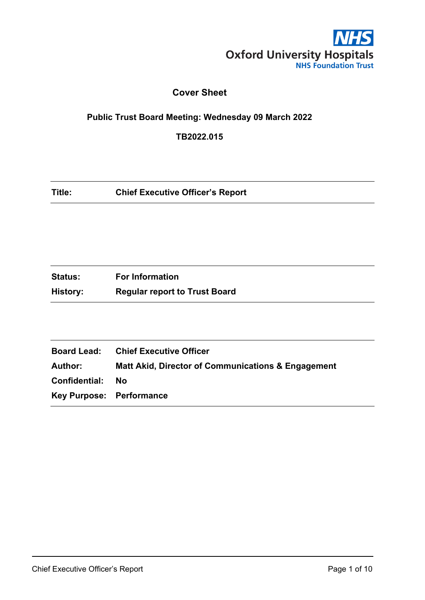

# **Cover Sheet**

## **Public Trust Board Meeting: Wednesday 09 March 2022**

**TB2022.015**

| Title:<br><b>Chief Executive Officer's Report</b> |  |
|---------------------------------------------------|--|
|---------------------------------------------------|--|

| <b>Status:</b> | <b>For Information</b>               |
|----------------|--------------------------------------|
| History:       | <b>Regular report to Trust Board</b> |

|                          | <b>Board Lead: Chief Executive Officer</b>                    |
|--------------------------|---------------------------------------------------------------|
| Author:                  | <b>Matt Akid, Director of Communications &amp; Engagement</b> |
| Confidential:            | Nο                                                            |
| Key Purpose: Performance |                                                               |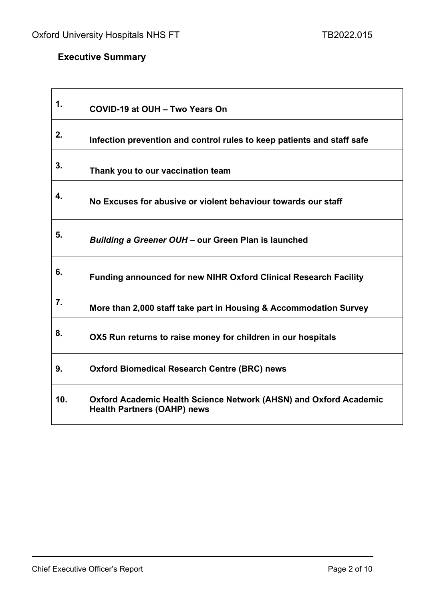# **Executive Summary**

 $\mathbf{r}$ 

| 1.  | COVID-19 at OUH - Two Years On                                                                                 |
|-----|----------------------------------------------------------------------------------------------------------------|
| 2.  | Infection prevention and control rules to keep patients and staff safe                                         |
| 3.  | Thank you to our vaccination team                                                                              |
| 4.  | No Excuses for abusive or violent behaviour towards our staff                                                  |
| 5.  | Building a Greener OUH - our Green Plan is launched                                                            |
| 6.  | <b>Funding announced for new NIHR Oxford Clinical Research Facility</b>                                        |
| 7.  | More than 2,000 staff take part in Housing & Accommodation Survey                                              |
| 8.  | OX5 Run returns to raise money for children in our hospitals                                                   |
| 9.  | <b>Oxford Biomedical Research Centre (BRC) news</b>                                                            |
| 10. | <b>Oxford Academic Health Science Network (AHSN) and Oxford Academic</b><br><b>Health Partners (OAHP) news</b> |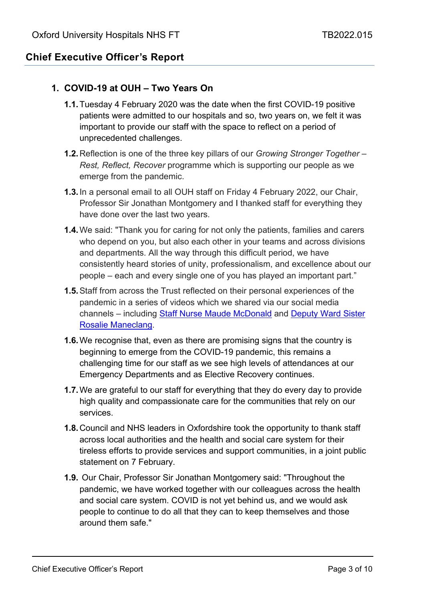# **Chief Executive Officer's Report**

#### **1. COVID-19 at OUH – Two Years On**

- **1.1.**Tuesday 4 February 2020 was the date when the first COVID-19 positive patients were admitted to our hospitals and so, two years on, we felt it was important to provide our staff with the space to reflect on a period of unprecedented challenges.
- **1.2.**Reflection is one of the three key pillars of our *Growing Stronger Together – Rest, Reflect, Recover* programme which is supporting our people as we emerge from the pandemic.
- **1.3.**In a personal email to all OUH staff on Friday 4 February 2022, our Chair, Professor Sir Jonathan Montgomery and I thanked staff for everything they have done over the last two years.
- **1.4.**We said: "Thank you for caring for not only the patients, families and carers who depend on you, but also each other in your teams and across divisions and departments. All the way through this difficult period, we have consistently heard stories of unity, professionalism, and excellence about our people – each and every single one of you has played an important part."
- **1.5.**Staff from across the Trust reflected on their personal experiences of the pandemic in a series of videos which we shared via our social media channels – including [Staff Nurse Maude McDonald](https://twitter.com/OUHospitals/status/1491344949769486338?cxt=HHwWhICqiZKVqbIpAAAA) and [Deputy Ward Sister](https://twitter.com/OUHospitals/status/1491424053382778886?cxt=HHwWjMDU9cmRzbIpAAAA)  [Rosalie Maneclang.](https://twitter.com/OUHospitals/status/1491424053382778886?cxt=HHwWjMDU9cmRzbIpAAAA)
- **1.6.**We recognise that, even as there are promising signs that the country is beginning to emerge from the COVID-19 pandemic, this remains a challenging time for our staff as we see high levels of attendances at our Emergency Departments and as Elective Recovery continues.
- **1.7.**We are grateful to our staff for everything that they do every day to provide high quality and compassionate care for the communities that rely on our services.
- **1.8.**Council and NHS leaders in Oxfordshire took the opportunity to thank staff across local authorities and the health and social care system for their tireless efforts to provide services and support communities, in a joint public statement on 7 February.
- **1.9.** Our Chair, Professor Sir Jonathan Montgomery said: "Throughout the pandemic, we have worked together with our colleagues across the health and social care system. COVID is not yet behind us, and we would ask people to continue to do all that they can to keep themselves and those around them safe."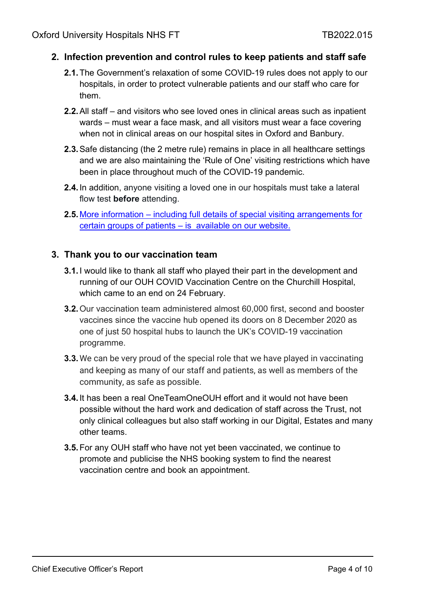#### **2. Infection prevention and control rules to keep patients and staff safe**

- **2.1.**The Government's relaxation of some COVID-19 rules does not apply to our hospitals, in order to protect vulnerable patients and our staff who care for them.
- **2.2.**All staff and visitors who see loved ones in clinical areas such as inpatient wards – must wear a face mask, and all visitors must wear a face covering when not in clinical areas on our hospital sites in Oxford and Banbury.
- **2.3.**Safe distancing (the 2 metre rule) remains in place in all healthcare settings and we are also maintaining the 'Rule of One' visiting restrictions which have been in place throughout much of the COVID-19 pandemic.
- **2.4.**In addition, anyone visiting a loved one in our hospitals must take a lateral flow test **before** attending.
- **2.5.**More information [including full details of special visiting arrangements for](https://www.ouh.nhs.uk/covid-19/faqs.aspx)  [certain groups of patients –](https://www.ouh.nhs.uk/covid-19/faqs.aspx) is available on our website.

#### **3. Thank you to our vaccination team**

- **3.1.**I would like to thank all staff who played their part in the development and running of our OUH COVID Vaccination Centre on the Churchill Hospital, which came to an end on 24 February.
- **3.2.**Our vaccination team administered almost 60,000 first, second and booster vaccines since the vaccine hub opened its doors on 8 December 2020 as one of just 50 hospital hubs to launch the UK's COVID-19 vaccination programme.
- **3.3.**We can be very proud of the special role that we have played in vaccinating and keeping as many of our staff and patients, as well as members of the community, as safe as possible.
- **3.4.**It has been a real OneTeamOneOUH effort and it would not have been possible without the hard work and dedication of staff across the Trust, not only clinical colleagues but also staff working in our Digital, Estates and many other teams.
- **3.5.**For any OUH staff who have not yet been vaccinated, we continue to promote and publicise the NHS booking system to find the nearest vaccination centre and book an appointment.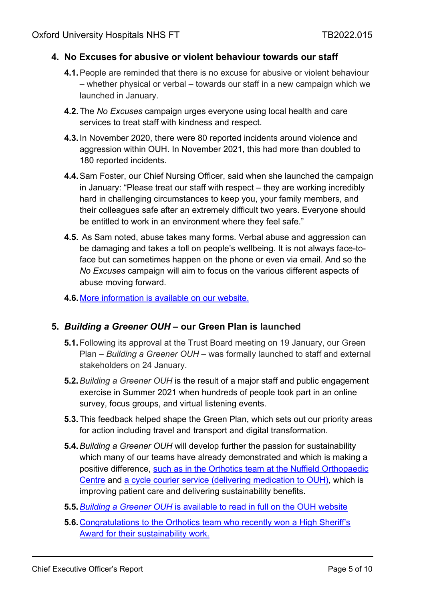#### **4. No Excuses for abusive or violent behaviour towards our staff**

- **4.1.**People are reminded that there is no excuse for abusive or violent behaviour – whether physical or verbal – towards our staff in a new campaign which we launched in January.
- **4.2.**The *No Excuses* campaign urges everyone using local health and care services to treat staff with kindness and respect.
- **4.3.**In November 2020, there were 80 reported incidents around violence and aggression within OUH. In November 2021, this had more than doubled to 180 reported incidents.
- **4.4.**Sam Foster, our Chief Nursing Officer, said when she launched the campaign in January: "Please treat our staff with respect – they are working incredibly hard in challenging circumstances to keep you, your family members, and their colleagues safe after an extremely difficult two years. Everyone should be entitled to work in an environment where they feel safe."
- **4.5.** As Sam noted, abuse takes many forms. Verbal abuse and aggression can be damaging and takes a toll on people's wellbeing. It is not always face-toface but can sometimes happen on the phone or even via email. And so the *No Excuses* campaign will aim to focus on the various different aspects of abuse moving forward.
- **4.6.**[More information is available on our website.](https://www.ouh.nhs.uk/news/article.aspx?id=1703&returnurl=/news/archive.aspx&pi=1)

#### **5.** *Building a Greener OUH* **– our Green Plan is launched**

- **5.1.**Following its approval at the Trust Board meeting on 19 January, our Green Plan – *Building a Greener OUH* – was formally launched to staff and external stakeholders on 24 January.
- **5.2.***Building a Greener OUH* is the result of a major staff and public engagement exercise in Summer 2021 when hundreds of people took part in an online survey, focus groups, and virtual listening events.
- **5.3.**This feedback helped shape the Green Plan, which sets out our priority areas for action including travel and transport and digital transformation.
- **5.4.***Building a Greener OUH* will develop further the passion for sustainability which many of our teams have already demonstrated and which is making a positive difference, [such as in the Orthotics team at the Nuffield Orthopaedic](https://www.ouh.nhs.uk/news/article.aspx?id=1660&returnurl=/default.aspx&pi=0)  [Centre](https://www.ouh.nhs.uk/news/article.aspx?id=1660&returnurl=/default.aspx&pi=0) and [a cycle courier service \(delivering medication to OUH\),](https://www.ouh.nhs.uk/news/article.aspx?id=1497&returnurl=/news/archive.aspx&pi=2) which is improving patient care and delivering sustainability benefits.
- **5.5.***Building a Greener OUH* [is available to read in full on the OUH website](https://www.ouh.nhs.uk/about/sustainability/documents/building-a-greener-ouh.pdf)
- **5.6.**[Congratulations to the Orthotics team who recently won a High Sheriff's](https://www.ouh.nhs.uk/news/article.aspx?id=1723&returnurl=/news/archive.aspx&pi=0)  [Award for their sustainability work.](https://www.ouh.nhs.uk/news/article.aspx?id=1723&returnurl=/news/archive.aspx&pi=0)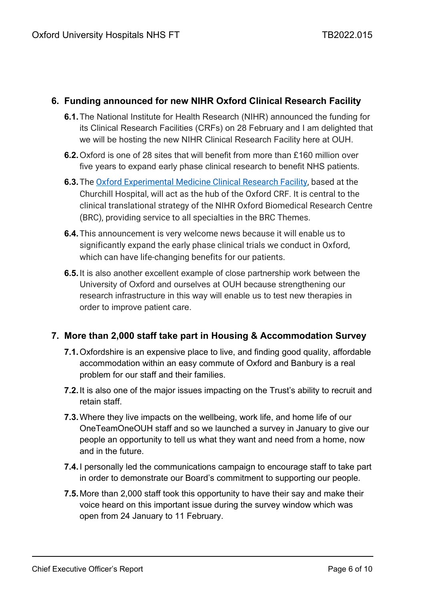#### **6. Funding announced for new NIHR Oxford Clinical Research Facility**

- **6.1.**The National Institute for Health Research (NIHR) announced the funding for its Clinical Research Facilities (CRFs) on 28 February and I am delighted that we will be hosting the new NIHR Clinical Research Facility here at OUH.
- **6.2.**Oxford is one of 28 sites that will benefit from more than £160 million over five years to expand early phase clinical research to benefit NHS patients.
- **6.3.**The [Oxford Experimental Medicine Clinical Research Facility,](https://www.ndorms.ox.ac.uk/oxford-emcrf) based at the Churchill Hospital, will act as the hub of the Oxford CRF. It is central to the clinical translational strategy of the NIHR Oxford Biomedical Research Centre (BRC), providing service to all specialties in the BRC Themes.
- **6.4.**This announcement is very welcome news because it will enable us to significantly expand the early phase clinical trials we conduct in Oxford, which can have life-changing benefits for our patients.
- **6.5.**It is also another excellent example of close partnership work between the University of Oxford and ourselves at OUH because strengthening our research infrastructure in this way will enable us to test new therapies in order to improve patient care.

## **7. More than 2,000 staff take part in Housing & Accommodation Survey**

- **7.1.**Oxfordshire is an expensive place to live, and finding good quality, affordable accommodation within an easy commute of Oxford and Banbury is a real problem for our staff and their families.
- **7.2.**It is also one of the major issues impacting on the Trust's ability to recruit and retain staff.
- **7.3.**Where they live impacts on the wellbeing, work life, and home life of our OneTeamOneOUH staff and so we launched a survey in January to give our people an opportunity to tell us what they want and need from a home, now and in the future.
- **7.4.**I personally led the communications campaign to encourage staff to take part in order to demonstrate our Board's commitment to supporting our people.
- **7.5.**More than 2,000 staff took this opportunity to have their say and make their voice heard on this important issue during the survey window which was open from 24 January to 11 February.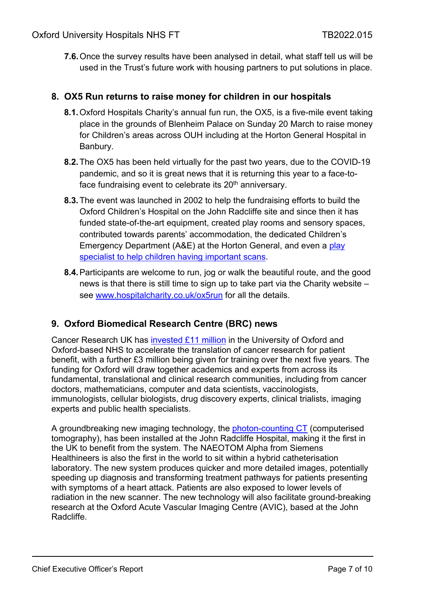**7.6.**Once the survey results have been analysed in detail, what staff tell us will be used in the Trust's future work with housing partners to put solutions in place.

#### **8. OX5 Run returns to raise money for children in our hospitals**

- **8.1.**Oxford Hospitals Charity's annual fun run, the OX5, is a five-mile event taking place in the grounds of Blenheim Palace on Sunday 20 March to raise money for Children's areas across OUH including at the Horton General Hospital in Banbury.
- **8.2.**The OX5 has been held virtually for the past two years, due to the COVID-19 pandemic, and so it is great news that it is returning this year to a face-toface fundraising event to celebrate its 20<sup>th</sup> anniversary.
- **8.3.**The event was launched in 2002 to help the fundraising efforts to build the Oxford Children's Hospital on the John Radcliffe site and since then it has funded state-of-the-art equipment, created play rooms and sensory spaces, contributed towards parents' accommodation, the dedicated Children's Emergency Department (A&E) at the Horton General, and even a play [specialist to help children having important scans.](https://www.hospitalcharity.co.uk/news/radiologyplay)
- **8.4.**Participants are welcome to run, jog or walk the beautiful route, and the good news is that there is still time to sign up to take part via the Charity website – see [www.hospitalcharity.co.uk/ox5run](http://www.hospitalcharity.co.uk/ox5run) for all the details.

## **9. Oxford Biomedical Research Centre (BRC) news**

Cancer Research UK has [invested £11 million](https://oxfordbrc.nihr.ac.uk/cancer-research-uk-to-invest-11-million-into-cancer-science-in-oxford/) in the University of Oxford and Oxford-based NHS to accelerate the translation of cancer research for patient benefit, with a further £3 million being given for training over the next five years. The funding for Oxford will draw together academics and experts from across its fundamental, translational and clinical research communities, including from cancer doctors, mathematicians, computer and data scientists, vaccinologists, immunologists, cellular biologists, drug discovery experts, clinical trialists, imaging experts and public health specialists.

A groundbreaking new imaging technology, the [photon-counting CT](https://www.ouh.nhs.uk/news/article.aspx?id=1715&returnurl=/default.aspx&pi=0) (computerised tomography), has been installed at the John Radcliffe Hospital, making it the first in the UK to benefit from the system. The NAEOTOM Alpha from Siemens Healthineers is also the first in the world to sit within a hybrid catheterisation laboratory. The new system produces quicker and more detailed images, potentially speeding up diagnosis and transforming treatment pathways for patients presenting with symptoms of a heart attack. Patients are also exposed to lower levels of radiation in the new scanner. The new technology will also facilitate ground-breaking research at the Oxford Acute Vascular Imaging Centre (AVIC), based at the John Radcliffe.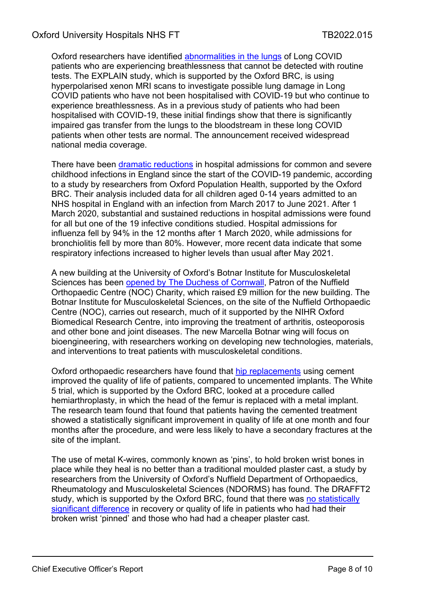Oxford researchers have identified [abnormalities in the lungs](https://oxfordbrc.nihr.ac.uk/lung-abnormalities-found-in-long-covid-patients-with-breathlessness/) of Long COVID patients who are experiencing breathlessness that cannot be detected with routine tests. The EXPLAIN study, which is supported by the Oxford BRC, is using hyperpolarised xenon MRI scans to investigate possible lung damage in Long COVID patients who have not been hospitalised with COVID-19 but who continue to experience breathlessness. As in a previous study of patients who had been hospitalised with COVID-19, these initial findings show that there is significantly impaired gas transfer from the lungs to the bloodstream in these long COVID patients when other tests are normal. The announcement received widespread national media coverage.

There have been [dramatic reductions](https://oxfordbrc.nihr.ac.uk/big-drop-in-hospital-admissions-for-child-infections-since-start-of-covid-19-pandemic/) in hospital admissions for common and severe childhood infections in England since the start of the COVID-19 pandemic, according to a study by researchers from Oxford Population Health, supported by the Oxford BRC. Their analysis included data for all children aged 0-14 years admitted to an NHS hospital in England with an infection from March 2017 to June 2021. After 1 March 2020, substantial and sustained reductions in hospital admissions were found for all but one of the 19 infective conditions studied. Hospital admissions for influenza fell by 94% in the 12 months after 1 March 2020, while admissions for bronchiolitis fell by more than 80%. However, more recent data indicate that some respiratory infections increased to higher levels than usual after May 2021.

A new building at the University of Oxford's Botnar Institute for Musculoskeletal Sciences has been [opened by The Duchess of Cornwall,](https://oxfordbrc.nihr.ac.uk/duchess-of-cornwall-opens-new-musculoskeletal-science-wing/) Patron of the Nuffield Orthopaedic Centre (NOC) Charity, which raised £9 million for the new building. The Botnar Institute for Musculoskeletal Sciences, on the site of the Nuffield Orthopaedic Centre (NOC), carries out research, much of it supported by the NIHR Oxford Biomedical Research Centre, into improving the treatment of arthritis, osteoporosis and other bone and joint diseases. The new Marcella Botnar wing will focus on bioengineering, with researchers working on developing new technologies, materials, and interventions to treat patients with musculoskeletal conditions.

Oxford orthopaedic researchers have found that [hip replacements](https://oxfordbrc.nihr.ac.uk/cemented-hip-replacement-improves-quality-of-life-for-patients-over-60/) using cement improved the quality of life of patients, compared to uncemented implants. The White 5 trial, which is supported by the Oxford BRC, looked at a procedure called hemiarthroplasty, in which the head of the femur is replaced with a metal implant. The research team found that found that patients having the cemented treatment showed a statistically significant improvement in quality of life at one month and four months after the procedure, and were less likely to have a secondary fractures at the site of the implant.

The use of metal K-wires, commonly known as 'pins', to hold broken wrist bones in place while they heal is no better than a traditional moulded plaster cast, a study by researchers from the University of Oxford's Nuffield Department of Orthopaedics, Rheumatology and Musculoskeletal Sciences (NDORMS) has found. The DRAFFT2 study, which is supported by the Oxford BRC, found that there was no statistically [significant difference](https://oxfordbrc.nihr.ac.uk/metal-pins-no-better-that-plaster-casts-to-treat-broken-wrists/) in recovery or quality of life in patients who had had their broken wrist 'pinned' and those who had had a cheaper plaster cast.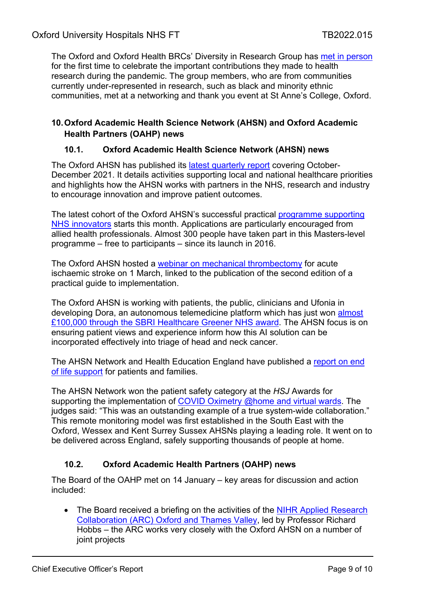The Oxford and Oxford Health BRCs' Diversity in Research Group has [met in person](https://oxfordbrc.nihr.ac.uk/diversity-in-research-group/) for the first time to celebrate the important contributions they made to health research during the pandemic. The group members, who are from communities currently under-represented in research, such as black and minority ethnic communities, met at a networking and thank you event at St Anne's College, Oxford.

#### **10.Oxford Academic Health Science Network (AHSN) and Oxford Academic Health Partners (OAHP) news**

#### **10.1. Oxford Academic Health Science Network (AHSN) news**

The Oxford AHSN has published its [latest quarterly report](https://www.oxfordahsn.org/wp-content/uploads/2022/02/Oxford-AHSN-2021-2022-Q3-report-FINAL.pdf) covering October-December 2021. It details activities supporting local and national healthcare priorities and highlights how the AHSN works with partners in the NHS, research and industry to encourage innovation and improve patient outcomes.

The latest cohort of the Oxford AHSN's successful practical [programme supporting](https://www.oxfordahsn.org/our-work/adopting-innovation/workforce-support/adopting-innovation-and-managing-change-in-healthcare-settings-programme/)  [NHS innovators](https://www.oxfordahsn.org/our-work/adopting-innovation/workforce-support/adopting-innovation-and-managing-change-in-healthcare-settings-programme/) starts this month. Applications are particularly encouraged from allied health professionals. Almost 300 people have taken part in this Masters-level programme – free to participants – since its launch in 2016.

The Oxford AHSN hosted a [webinar on mechanical thrombectomy](https://www.eventbrite.co.uk/e/mechanical-thrombectomy-for-acute-ischaemic-stroke-tickets-230387724887) for acute ischaemic stroke on 1 March, linked to the publication of the second edition of a practical guide to implementation.

The Oxford AHSN is working with patients, the public, clinicians and Ufonia in developing Dora, an autonomous telemedicine platform which has just won [almost](https://www.digitalhealth.net/2022/01/sbri-healthcare-awards-1million-to-support-net-zero-nhs/?utm_source=Digital+Health+Main+Newsletter+List&utm_campaign=ecf3a75e93-DHNEWS_27_1_22&utm_medium=email&utm_term=0_5b35787700-ecf3a75e93-104999009)  [£100,000 through the SBRI Healthcare Greener NHS award.](https://www.digitalhealth.net/2022/01/sbri-healthcare-awards-1million-to-support-net-zero-nhs/?utm_source=Digital+Health+Main+Newsletter+List&utm_campaign=ecf3a75e93-DHNEWS_27_1_22&utm_medium=email&utm_term=0_5b35787700-ecf3a75e93-104999009) The AHSN focus is on ensuring patient views and experience inform how this AI solution can be incorporated effectively into triage of head and neck cancer.

The AHSN Network and Health Education England have published a [report on end](https://www.ahsnnetwork.com/supporting-people-at-end-of-life)  [of life support](https://www.ahsnnetwork.com/supporting-people-at-end-of-life) for patients and families.

The AHSN Network won the patient safety category at the *HSJ* Awards for supporting the implementation of [COVID Oximetry @home and virtual wards.](https://www.patientsafetyoxford.org/clinical-safety-programmes/sepsis/covid-19-virtual-wards/) The judges said: "This was an outstanding example of a true system-wide collaboration." This remote monitoring model was first established in the South East with the Oxford, Wessex and Kent Surrey Sussex AHSNs playing a leading role. It went on to be delivered across England, safely supporting thousands of people at home.

## **10.2. Oxford Academic Health Partners (OAHP) news**

The Board of the OAHP met on 14 January – key areas for discussion and action included:

• The Board received a briefing on the activities of the NIHR Applied Research [Collaboration \(ARC\) Oxford and Thames Valley,](https://www.arc-oxtv.nihr.ac.uk/) led by Professor Richard Hobbs – the ARC works very closely with the Oxford AHSN on a number of joint projects